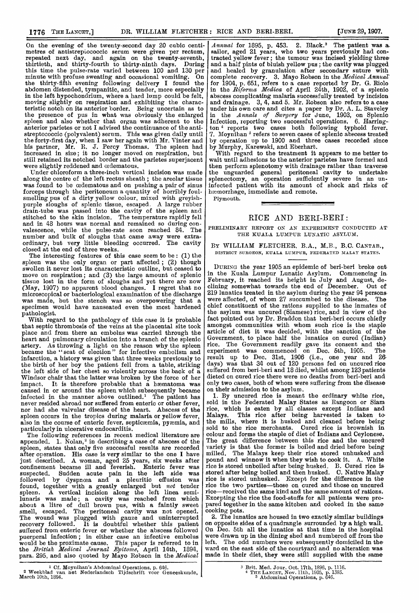On the evening of the twenty-second day 20 cubic centi metres of antistrepiococcic serum were given per rectum, repeated next day, and again on the twenty-seventh thirtieth, and thirty-fourth to thirty-ninth days. Durinj this time the pulse-rate varied between 100 and 130 per minute with profuse sweating and occasional vomiting. On the thirty-fifth evening following delivery I found the abdomen distended, tympanitic, and tender, more especially in the left hypochondrium, where a hard lump could be felt, moving slightly on respiration and exhibiting the charac teristic notch on its anterior border. Being uncertain as to the presence of pus in what was obviously the enlargec spleen and also whether that organ was adherent to the anterior parietes or not I advised the continuance of the anti streptococcic (polyvalent) serum. This was given daily until the forty-first day, when I saw her again with Mr. Vinter and his partner, Mr. R. J. Percy Thomas. The spleen had increased in size; it no longer moved on respiration, but still retained its notched border and the parietes superjacent were slightly reddened and oedematous.

Under chloroform a three-inch vertical incision was made along the centre of the left rectus sheath ; the areolar tissue was found to be cedematous and on pushing a pair of sinus forceps through the peritoneum a quantity of horribly foulsmelling pus of a dirty yellow colour, mixed with greyishpurple sloughs of splenic tissue, escaped. A large rubber drain-tube was passed into the cavity of the spleen and stitched to the skin incision. The temperature rapidly fell and in 48 hours was normal and remained so during convalescence, while the pulse-rate soon reached 84. The number and bulk of sloughs that came away were extraordinary, but very little bleeding occurred. The cavity closed at the end of three weeks.

The interesting features of this case seem to be : (1) the spleen was the only organ or part affected; (2) though swollen it never lost its characteristic outline, but ceased to move on respiration; and (3) the large amount of splenic tissue lost in the form of sloughs and yet there are now (May, 1907) no apparent blood changes. I regret that no microscopical or bacteriological examination of the discharge was made, but the stench was so overpowering that a specimen would have nauseated even the most hardened pathologist.

pathologist. With regard to the pathology of this case it is probable that septic thrombosis of the veins at the placental site took place and from there an embolus was carried through the heart and pulmonary circulation into a branch of the splenic artery. As throwing a light on the reason why the spleen became the "seat of election" for infective embolism and infarction, a history was given that three weeks previously to the birth of her boy the patient fell from a table, striking the left side of her chest so violently across the back of a Windsor chair that the latter was broken by the force of her impact. It is therefore probable that a hæmatoma was caused in or around the spleen which subsequently became infected in the manner above outlined.<sup>1</sup> The patient has never resided abroad nor suffered from enteric or other fever, nor had she valvular disease of the heart. Abscess of the spleen occurs in the tropics during malaria or yellow fever, also in the course of enteric fever, septicamia, pyamia, and particularly in ulcerative endocarditis.

The following references in recent medical literature are appended.  $1.$  Nolan,<sup>2</sup> in describing a case of abscess of the spleen, states that only five successful results are recorded after operation. His case is very similar to the one I have just described. A woman, aged 25 years, six weeks after confinement became ill and feverish. Enteric fever was suspected. Sudden acute pain in the left side was followed by dyspnoea and a pleuritic effusion was found, together with a greatly enlarged but *not* tender spleen. A vertical incision along the left linea semilunaris was made; a cavity was reached from which about a litre of dull brown pus, with a faintly sweet smell, escaped. The peritoneal cavity was not opened. The wound was plugged with gauze and uninterrupted recovery followed. It is doubtful whether this patient suffered from enteric fever or whether the abscess followed puerperal infection; in either case an infective embolus would be the proximate cause. This paper is referred to in the *British Medical Journal Epitome*, April 14th, 1894, para. 295, and also quoted by Mayo Robson in the Medical

ti-  $\left|$  Annual for 1895, p. 453. 2. Black.<sup>3</sup> The patient was a n, sailor, aged 21 years, who two years previously had conh, tracted yellow fever; the tumour was incised yielding threeand a half pints of bluish yellow pus; the cavity was plugged  $er$  and healed by granulation after secondary suture with In  $\alpha$  complete recovery. 3. Mayo Robson in the *Medical Annual* Ie for 1904, p. 651, refers to a case reported by Dr. G. Riolo in the  $Riforma$  Medica of April 24th, 1902, of a splenic abscess complicating malaria successfully treated by incision and drainage.  $3, 4,$  and 5. Mr. Robson also refers to a case under his own care and cites a paper by Dr. A. L. Staveley ed in the Annals of Surgery for June, 1903, on Splenic Infection, reporting two successful operations. 6. Harringi- ton 4 reports two cases both following typhoid fever. il  $\left[7\right]$ . Moynihan  $\degree$  refers to seven cases of splenic abscess treated by operation up to 1900 and three cases recorded since by Murphy, Karewski, and Eberhart.

With regard to the treatment it appears to me better to wait until adhesions to the anterior parietes have formed and then perform splenotomy with drainage rather than traverse  $e$  the unguarded general peritoneal cavity to undertake  $e$  splenectomy, an operation sufficiently severe in an uns infected patient with its amount of shock and risks of hæmorrhage, immediate and remote.

Plymouth.

#### RICE AND BERI-BERI:

PRELIMINARY REPORT ON AN EXPERIMENT CONDUCTED AT THE KUALA LUMPUR LUNATIC ASYLUM.

### BY WILLIAM FLETCHER, B.A., M.B., B.C. CANTAB., DISTRICT SURGEON, KUALA LUMPUR, FEDERATED MALAY STATES.

DURING the year 1905 an epidemic of beri-beri broke out in the Kuala Lumpur Lunatic Asylum. February, it reached its height in July and August, declining somewhat towards the end of December. Out of 219 lunatics treated in the asylum during the year 94 persons were affected, of whom 27 succumbed to the disease. The chief constituent of the rations supplied to the inmates of the asylum was uncured (Siamese) rice, and in view of thefact pointed out by Dr. Braddon that beri-beri occurs chiefly amongst communities with whom such rice is the staple amongst communities with whom such rice is the staple article of diet it was decided, with the sanction of the Government, to place half the lunatics on cured (Indian) rice. The Government readily gave its consent and the experiment was commenced on Dec. 5th, 1905. The result up to Dec. 31st, 1906 (i.e., one year and 26 days) was that 34 out of 120 persons fed on uncured rice suffered from beri-beri and 18 died, whilst among 123 patients dieted on cured rice there were no deaths from beri-beri and only two cases, both of whom were suffering from the disease on their admission to the asylum.

1. By uncured rice is meant the ordinary white rice, sold in the Federated Malay States as Rangoon or Siam rice, which is eaten by all classes except Indians and Malays. This rice after being harvested is taken tothe mills, where it is husked and cleaned before being sold to the rice merchants. Cured rice is brownish in colour and forms the staple of diet of Indians and Ceylonese. The great difference between this rice and the uncured variety is that the former is boiled and dried before being milled. The Malays keep their rice stored unhusked and pound and winnow it when they wish to cook it. A. White rice is stored unboiled after being husked. B. Cured rice is stored after being boiled and then husked. C. Native Malay rice is stored unhusked. Except for the difference in the rice the two parties—those on cured and those on uncured rice-received the same kind and the same amount of rations. Excepting the rice the food-stuffs for all patients were prepared together in the same kitchen and cooked in the same cooking pots.<br>2. The lunatics are housed in two exactly similar buildings

on opposite sides of a quadrangle surrounded by a high wall.<br>On Dec. 5th all the lunatics at that time in the hospital were drawn up in the dining shed and numbered off from the left. The odd numbers were subsequently domiciled in the ward on the east side of the courtyard and no alteration was made in their diet, they were still supplied with the same

<sup>1</sup> Cf. Moynihan's Abdominal Operations, p. 646. 2 Weekblad van het Nederlandsch Tijdschrift voor Geneeskunde, March 10th, 1894.

<sup>3</sup> Brit. Med. Jour. Oct. 17th, 1896, p. 1116. 4 THE LANCET, Nov. 11th, 1905, p. 1393. 5 Abdominal Operations, p. 646.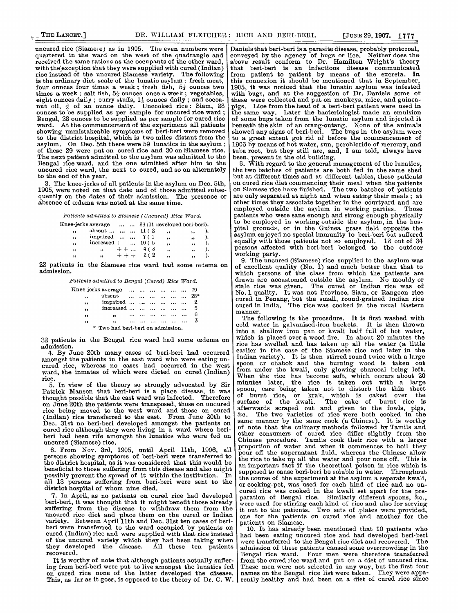uncured rice (Siamese) as in 1905. The even numbers were quartered in the ward on the west of the quadrangle and received the same rations as the occupants of the other ward, with the exception that they were supplied with cured (Indian) rice instead of the uncured Siamese variety. The following rice instead of the uncured Siamese variety. The following  $\vert$  from is the ordinary diet scale of the lunatic asylum : fresh meat,  $\vert$  th four ounces four times a week; fresh fish,  $5\frac{1}{3}$  ounces two times a week ; salt fish,  $5\frac{1}{3}$  ounces once a week; vegetables, eight ounces daily ; curry stuffs,  $1\frac{1}{3}$  ounces daily ; and cocoanut oil,  $\frac{2}{3}$  of an ounce daily. Uncooked rice : Siam, 28 ounces to be supplied as per sample for uncured rice ward; Bengal,  $28$  ounces to be supplied as per sample for cured rice ward. At the commencement of the experiment all patients showing unmistakeable symptoms of beri-beri were removed to the district hospital, which is two miles distant from the asylum. On Dec. 5th there were 59 lunatics in the asylum; of these 29 were put on cured rice and 30 on Siamese rice. The next patient admitted to the asylum was admitted to the Bengal rice ward, and the one admitted after him to the

1905, were noted on that date and of those admitted subsequently on the dates of their admission. The presence or absence of cedema was noted at the same time.

|         | on the dates of their admission. The presence or<br>e of œdema was noted at the same time. |          |        |                         |           |    | a<br>Oʻ                 |
|---------|--------------------------------------------------------------------------------------------|----------|--------|-------------------------|-----------|----|-------------------------|
|         | Patients admitted to Siamese (Uncured) Rice Ward.                                          |          |        |                         |           |    | $\mathbf{e}$            |
|         | Knee-jerks average   86 (21 developed beri-beri).                                          |          |        |                         |           |    | p<br>t                  |
| $\cdot$ | absent $11(2)$                                                                             |          |        | $\overline{\mathbf{z}}$ | 55        |    | p                       |
| $, \,$  | impaired $\dots$ $\dots$ 7(1)                                                              |          |        | ,,                      | ,,        |    | $\overline{\mathbf{a}}$ |
| $, \,$  | $increased + $                                                                             |          | 10 ( 5 | ,                       | $\bullet$ |    | e                       |
| $, \,$  | $\overline{\mathbf{12}}$                                                                   | $+ + $   | 4 (3   | $\bullet$               | $\bullet$ | ۱. | р                       |
| 59      | $55 -$                                                                                     | $++$ $+$ | 2(2    | , 1                     | ,,        |    | V,                      |
|         | ionto in the Circuity of a count last cause a faces                                        |          |        |                         |           |    |                         |

22 patients in the Siamese rice ward had some œdema on  $\vert$  o admission.

Patients admitted to Bengal (Cured) Rice Ward.

|              | Knee-jerks average   |  |  |  | -79   |
|--------------|----------------------|--|--|--|-------|
| ٠,           | absent               |  |  |  | $28*$ |
| ,,           | impaired             |  |  |  |       |
| $\bullet$    | increased            |  |  |  |       |
| , ,          | 12                   |  |  |  |       |
| $^{\bullet}$ | $\ddot{\phantom{a}}$ |  |  |  |       |

32 patients in the Bengal rice ward had some cedema on admission.

4. By June 20th many cases of beri-beri had occurred amongst the patients in the east ward who were eating uncured rice, whereas no cases had occurred in the west ward, the inmates of which were dieted on cured (Indian) rice.

5. In view of the theory so strongly advocated by Sir Patrick Manson that beri-beri is a place disease, it was thought possible that the east ward was infected. Therefore on June 20th the patients were transposed, those on uncured rice being moved to the west ward and those on cured  $\begin{bmatrix} \text{after} \\ \text{for } \text{other} \end{bmatrix}$ (Indian) rice transferred to the east. From June 20th to Dec. 31st no beri-beri developed amongst the patients on cured rice although they were living in a ward where beriberi had been rife amongst the lunatics who were fed on uncured (Siamese) rice.

6. From Nov. 3rd, 1905, until April llth, 1906, all persons showing symptoms of beri-beri were transferred to the district hospital, as it was considered that this would be beneficial to those suffering from this disease and also might possibly prevent the spread of it within the institution. In all 13 persons suffering from beri-beri were sent to the

district hospital of whom nine died.<br>7. In April, as no patients on cured rice had developed beri-beri, it was thought that it might benefit those already suffering from the disease to withdraw them from the uncured rice diet and place them on the cured or Indian variety. Between April llth and Dec. 31st ten cases of beriberi were transferred to the ward occupied by patients on cured (Indian) rice and were supplied with that rice instead of the uncured variety which they had been taking when they developed the disease. All these ten patients recovered.

It is worthy of note that although patients actually suffering from beri-beri were put to live amongst the lunatics fed on cured rice none of the latter developed the disease. This, as far as it goes, is opposed to the theory of Dr. C. W.

Daniels that beri-beri is a parasite disease, probably protozoal, nveyed by the agency of bugs or lice. Neither does the ove result conform to Dr. Hamilton Wright's theory<br>at beri-beri is an infectious disease communicated patient to patient by means of the excreta. In is connexion it should be mentioned that in September, 105, it was noticed that the lunatic asylum was infested with bugs, and at the suggestion of Dr. Daniels some of these were collected and put on monkeys, mice, and guineapigs. Lice from the head of a beri-beri patient were used in the same way. Later the bacteriologist made an emulsion of some bugs taken from the lunatic asylum and injected it beneath the skin of an orang-outang. None of the animals showed any signs of beri-beri. The bugs in the asylum were lowed any signs of beri-beri. The bugs in the asylum were a great extent got rid of before the commencement of 1906 by means of hot water, sun, perchloride of mercury, and tuba root, but they still are, and, I am told, always have been, present in the old building.  $\frac{1}{2}$  and  $\frac{1}{2}$  are been, present in the old building.

uncured rice ward, the next to cured, and so on alternately the two batches of patients are both fed in the same shed to the end of the year. to the end of the year.<br>3. The knee-jerks of all patients in the asylum on Dec. 5th, on cured rice diet commencing their meal when the patients 3. The knee-jerks of all patients in the asylum on Dec. 5th,  $\vert$  on cured rice diet commencing their meal when the patients 005, were noted on that date and of those admitted subse- $\vert$  on Siamese rice have finished. The Patients admitted to Siamese (Uncured) Rice Ward. patients who were sane enough and strong enough physically are only separated at night and when eating their meals; at other times they associate together in the courtyard and are<br>employed outside the asylum in working parties. Those employed outside the asylum in working parties. atients who were sane enough and strong enough physically o be employed in working outside the asylum, in the hosrital grounds, or in the Guinea grass field opposite the ,sylum enjoyed no special immunity to beri-beri but suffered equally with those patients not so employed. 12 out of 34 )ersons affected with beri-beri belonged to the outdoor

vorking party. ' 9. The uncured (Siamese) rice supplied to the asylum was )f excellent quality (No. 1) and much better than that to vhich persons of the class from which the patients are drawn are accustomed outside the asylum. No mouldy or stale rice was given. The cured or Indian rice was of No. 1 quality. It was not Province, Siam, or Rangoon rice mred in Penang, but the small, round-grained Indian rice cured in India. The rice was cooked in the usual Eastern manner.

The following is the procedure. It is first washed with cold water in galvanised-iron buckets. It is then thrown into a shallow iron pan or kwali half full of hot water, which is placed over a wood fire. In about 20 minutes the rice has swelled and has taken up all the water (a little earlier in the case of the Siamese rice and later in the Indian variety). It is then stirred round twice with a large spoon or chabok and the burning wood is taken out from under the kwali, only glowing charcoal being left. When the rice has become soft, which occurs about 20 minutes later, the rice is taken out with a large spoon, care being taken not to disturb the thin sheet of burnt rice, or krak, which is caked over the surface of the kwali. The cake of burnt rice is afterwards scraped out and given to the fowls, pigs, The two varieties of rice were both cooked in the same manner by the same cook (a Chinese). It is worthy of note that the culinary methods followed by Tamils and other consumers of cured rice differ slightly from the Chinese procedure. Tamils cook their rice with a larger proportion of water and when it commences to boil they pour off the supernatant fluid, whereas the Chinese allow the rice to take up all the water and pour none off. This is an important fact if the theoretical poison in rice which is supposed to cause beri-beri be soluble in water. Throughout the course of the experiment at the asylum a separate kwali, or cooking-pot, was used for each kind of rice and no uncured rice was cooked in the kwali set apart for the pre-<br>paration of Bengal rice. Similarly different spoons, &c., were used for stirring each kind of rice and also for serving it out to the patients. Two sets of plates were provided, one for the patients on cured rice and another for the patients on Siamese.

10. It has already been mentioned that 10 patients who had been eating uncured rice and had developed beri-beri were transferred to the Bengal rice diet and recovered. The admission of these patients caused some overcrowding in the Bengal rice ward. Four men were therefore transferred from the cured rice ward and put on a diet of uncured rice. These men were not selected in any way, but the first four names on the Bengal rice list were taken. They were apparently healthy and had been on a diet of cured rice since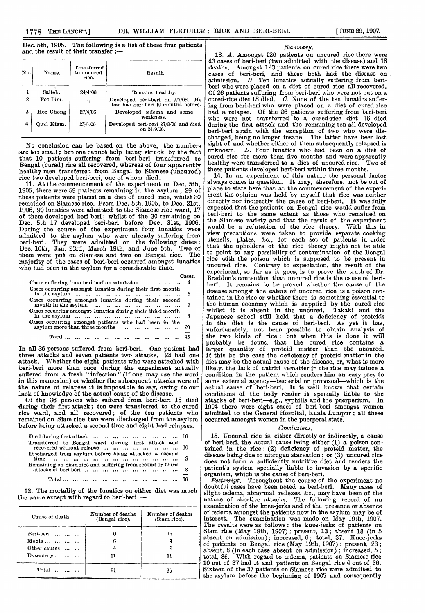## Dec. 5th, 1905. The following is a list of these four patients and the result of their transfer :—

| No.            | Name.      | Transferred<br>to uncured<br>rice. | Result.                                                                  |
|----------------|------------|------------------------------------|--------------------------------------------------------------------------|
| ı              | Salleh.    | 24/4/06                            | Remains healthy.                                                         |
| $\mathfrak{p}$ | Foo Lim.   | $, \,$                             | Developed beri-beri on 7/7/06. He<br>had had beri-beri 10 months before. |
| 3              | Hee Chong  | 27/4/06                            | Developed cedema and some<br>weakness.                                   |
| 4              | Qual Kiam. | 23/6/06                            | Developed beri-beri 27/8/06 and died<br>on 24/9/06.                      |

No conclusion can be based on the above, the number are too small ; but one cannot help being struck by the fac that 10 patients suffering from beri-beri transferred t, Bengal (cured) rice all recovered, whereas of four apparently healthy men transferred from Bengal to Siamese (uncured) rice two developed beri-beri, one of whom died.

11. At the commencement of the experiment on Dec. 5th 1905, there were 59 patients remaining in the asylum ;  $29$  of these patients were placed on a diet of cured rice, whilst 31 remained on Siamese rice. From Dec. 5th, 1905, to Dec. 31st 1906, 90 lunatics were admitted to the Siamese rice ward, 1' of them developed beri-beri; whilst of the 30 remaining Dec. 5th 17 developed beri-beri before Dec. 31st, 1906 During the course of the experiment four lunatics wer, admitted to the asylum who were already suffering fron beri-beri. They were admitted on the following dates Dec. 10th, Jan. 23rd, March 19th, and June 5th. Two o them were put on Siamese and two on Bengal rice. Th majority of the cases of beri-beri occurred amongst lunatics who had been in the asylum for a considerable time.

|                                                                                       | Cases. |
|---------------------------------------------------------------------------------------|--------|
| Cases suffering from beri-beri on admission                                           |        |
| Cases occurring amongst lunatics during their first month                             | 6      |
| Cases occurring amongst lunatics during their second<br>month in the asylum           | 7      |
| Cases occurring amongst lunatics during their third month                             | 8      |
| Cases occurring amongst patients who had been in the<br>asylum more than three months | 20     |
|                                                                                       | 45     |

In all 36 persons suffered from beri-beri. One patient had three attacks and seven patients two attacks. attack. Whether the eight patients who were attacked with beri-beri more than once during the experiment actually suffered from a fresh " infection " (if one may use the word in this connexion) or whether the subsequent attacks were of the nature of relapses it is impossible to say, owing to our lack of knowledge of the actual cause of the disease.

Of the 36 persons who suffered from beri-beri 16 died during their first attack; ten were transferred to the cured rice ward, and all recovered; of the ten patients who remained on Siam rice two were discharged from the asylum before being attacked a second time and eight had relapses.

| Died during first attack          16                                                         |  |
|----------------------------------------------------------------------------------------------|--|
| Transferred to Bengal ward during first attack and<br>recovered without relapse        10    |  |
| Discharged from asylum before being attacked a second                                        |  |
| Remaining on Siam rice and suffering from second or third<br>attacks of beri-beri          8 |  |
|                                                                                              |  |

12. The mortality of the lunatics on either diet was much the same except with regard to beri-beri:-

| Cause of death.    | Number of deaths<br>(Bengal rice). | Number of deaths<br>(Siam rice). |  |
|--------------------|------------------------------------|----------------------------------|--|
| Beri-beri<br>      |                                    | 18                               |  |
| Mania              | 6                                  |                                  |  |
| Other causes       |                                    | 2                                |  |
| Dysentery $\ldots$ |                                    | 11                               |  |
| Total              |                                    | 35                               |  |

#### Summary.

13. A. Amongst 120 patients on uncured rice there were 43 cases of beri-beri (two admitted with the disease) and 18 deaths. Amongst 123 patients on cured rice there were two cases of beri-beri, and these both had the disease on admission.  $B$ . Ten lunatics actually suffering from beriberi who were placed on a diet of cured rice all recovered. Of 26 patients suffering from beri-beri who were not put on a cured-rice diet 18 died.  $C.$  None of the ten lunatics suffering from beri-beri who were placed on a diet of cured rice had a relapse. Of the 26 patients suffering from beri-beri who were not transferred to a cured-rice diet 16 died during the first attack and the remaining ten all developed beri-beri again with the exception of two who were discharged, being no longer insane. The latter have been lost sight of and whether either of them subsequently relapsed is<br>unknown.  $D$ . Four lunatics who had been on a diet of  $D.$  Four lunatics who had been on a diet of cured rice for more than five months and were apparently healthy were transferred to a diet of uncured rice. Two of healthy were transferred to a diet of uncured rice. these patients developed beri-beri within three months.

14. In an experiment of this nature the personal factor always comes in question. It may, therefore, not be out of place to state here that at the commencement of the experiment the opinion was held by myself that rice was neither directly nor indirectly the cause of beri-beri. It was fully expected that the patients on Bengal rice would suffer from beri-beri to the same extent as those who remained on the Siamese variety and that the result of the experiment would be a refutation of the rice theory. With this in view precautions were taken to provide separate cooking utensils, plates, &c., for each set of patients in order that the upholders of the rice theory might not be able to point to any possibility of contamination of the Bengal rice with the poison which is supposed to be present in uncured rice. Contrary to expectation, the result of the Contrary to expectation, the result of the experiment, so far as it goes, is to prove the truth of Dr. Braddon's contention that uncured rice is the cause of beriberi. It remains to be proved whether the cause of the disease amongst the eaters of uncured rice is a poison contained in the rice or whether there is something essential to the human economy which is supplied by the cured rice whilst it is absent in the uncured. Takaki and the whilst it is absent in the uncured. Japanese school still hold that a deficiency of proteids in the diet is the cause of beri-beri. As yet it has, unfortunately, not been possible to obtain analysis of the two kinds of rice ; but when this is done it will probably be found that the cured rice contains a larger quantity of proteid matter than the uncured. If this be the case the deficiency of proteid matter in the diet may be the actual cause of the disease, or, what is more likely, the lack of nutriti vematter in the rice may induce a condition in the patient which renders him an easy prey to some external agency-bacterial or protozoal-which is the actual cause of beri-beri. It is well known that certain conditions of the body render it specially liable to the attacks of beri-beri-e.g., syphilis and the puerperium. In 1904 there were eight cases of beri-beri amongst women admitted to the General Hospital, Kuala Lumpur ; all these occurred amongst women in the puerperal state.

#### Conclusions.

15. Uncured rice is, either directly or indirectly, a cause of beri-beri, the actual cause being either (1) a poison contained in the rice ; (2) deficiency of proteid matter, the disease being due to nitrogen starvation; or (3) uncured rice does not form a sufficiently nutritive diet and renders the patient's system specially liable to invasion by a specific organism, which is the cause of beri-beri.

Postscript.—Throughout the course of the experiment no doubtful cases have been noted as beri-beri. Many cases of slight oedema, abnormal reflexes, &c., may have been of the nature of abortive attacks. The following record of an examination of the knee-jerks and of the presence or absence of cedema amongst the patients now in the asylum may be of interest. The examination was made on May 19th, 1907. The examination was made on May 19th, 1907. The results were as follows: the knee-jerks of patients on Siam rice (May 19th, 1907) : present, 13; absent 18 (in 5 absent on admission) ; increased, 6; total, 37. Knee-jerks of patients on Bengal rice (May 19th, 1907) : present, 23; absent, 8 (in each case absent on admission) ; increased, 5 ; total, 36. With regard to oedema, patients on Siamese rice 10 out of 37 had it and patients on Bengal rice 4 out of 36. Sixteen of the 37 patients on Siamese rice were admitted to the asylum before the beginning of 1907 and consequently